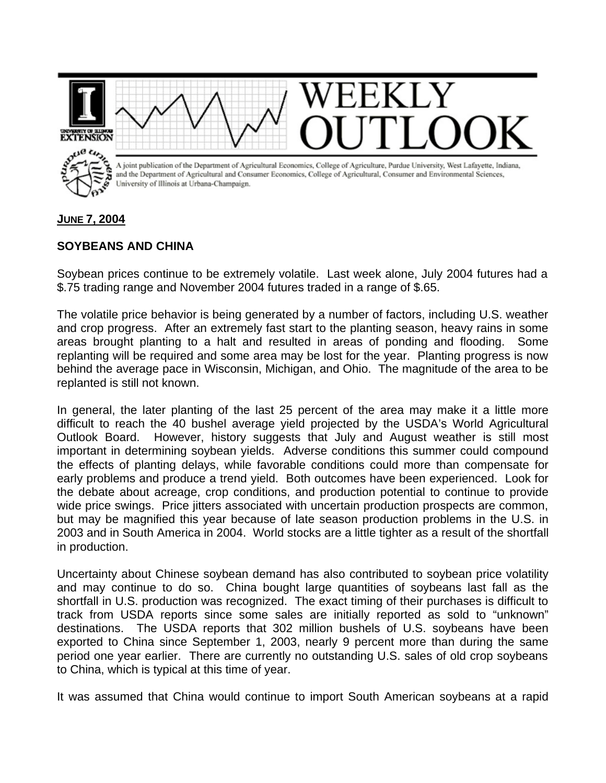

## **JUNE 7, 2004**

## **SOYBEANS AND CHINA**

Soybean prices continue to be extremely volatile. Last week alone, July 2004 futures had a \$.75 trading range and November 2004 futures traded in a range of \$.65.

The volatile price behavior is being generated by a number of factors, including U.S. weather and crop progress. After an extremely fast start to the planting season, heavy rains in some areas brought planting to a halt and resulted in areas of ponding and flooding. Some replanting will be required and some area may be lost for the year. Planting progress is now behind the average pace in Wisconsin, Michigan, and Ohio. The magnitude of the area to be replanted is still not known.

In general, the later planting of the last 25 percent of the area may make it a little more difficult to reach the 40 bushel average yield projected by the USDA's World Agricultural Outlook Board. However, history suggests that July and August weather is still most important in determining soybean yields. Adverse conditions this summer could compound the effects of planting delays, while favorable conditions could more than compensate for early problems and produce a trend yield. Both outcomes have been experienced. Look for the debate about acreage, crop conditions, and production potential to continue to provide wide price swings. Price jitters associated with uncertain production prospects are common, but may be magnified this year because of late season production problems in the U.S. in 2003 and in South America in 2004. World stocks are a little tighter as a result of the shortfall in production.

Uncertainty about Chinese soybean demand has also contributed to soybean price volatility and may continue to do so. China bought large quantities of soybeans last fall as the shortfall in U.S. production was recognized. The exact timing of their purchases is difficult to track from USDA reports since some sales are initially reported as sold to "unknown" destinations. The USDA reports that 302 million bushels of U.S. soybeans have been exported to China since September 1, 2003, nearly 9 percent more than during the same period one year earlier. There are currently no outstanding U.S. sales of old crop soybeans to China, which is typical at this time of year.

It was assumed that China would continue to import South American soybeans at a rapid